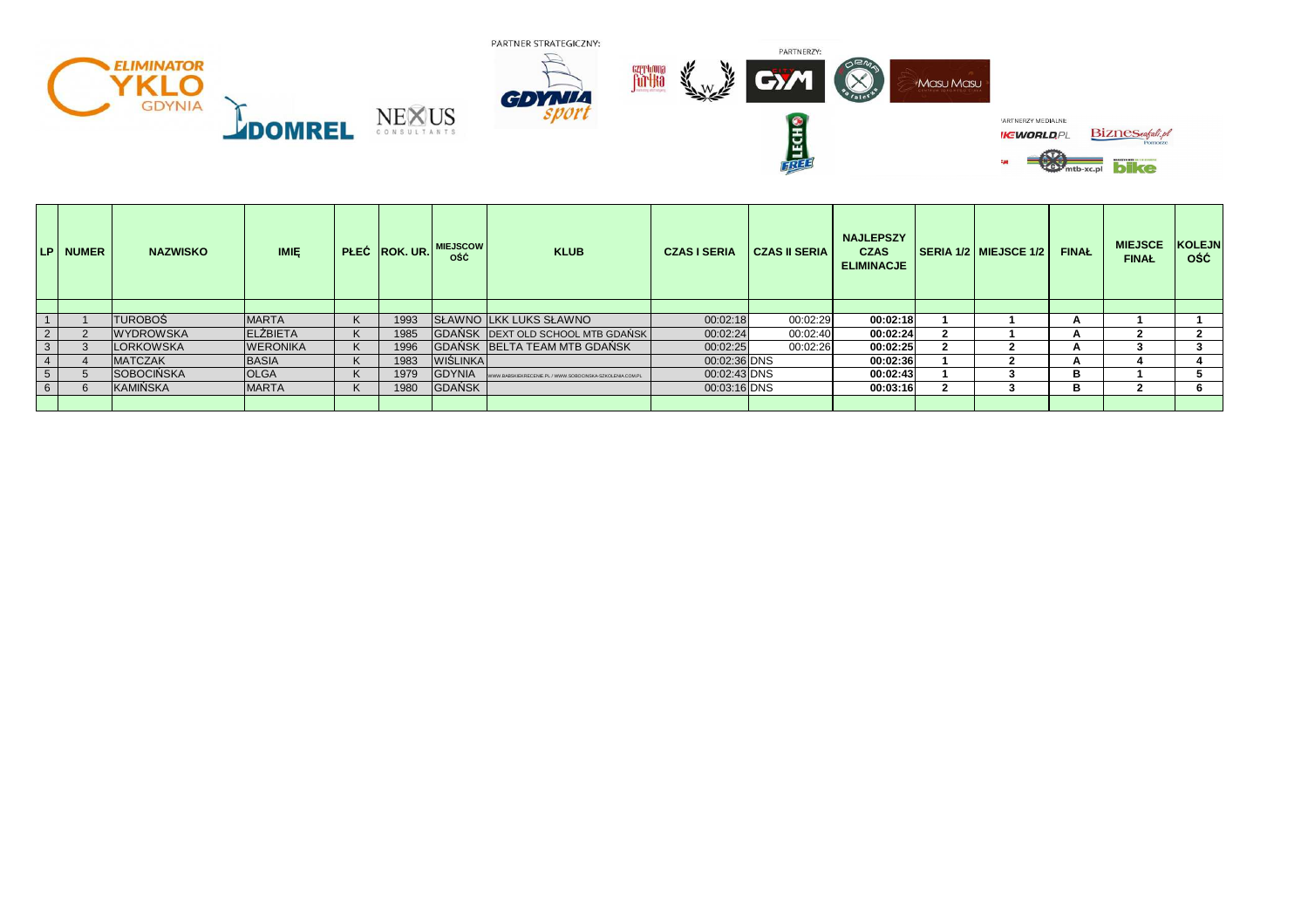

|             | LP NUMER | <b>NAZWISKO</b>  | <b>IMIE</b>     |    |      | PLEĆ ROK. UR. MIEJSCOW<br><b>ość</b> | <b>KLUB</b>                                              | <b>CZAS I SERIA</b> | <b>NAJLEPSZY</b><br><b>CZAS II SERIA</b><br><b>ELIMINACJE</b> |          | <b>SERIA 1/2 MIEJSCE 1/2</b> | <b>FINAL</b> | <b>MIEJSCE</b><br><b>FINAŁ</b> | <b>KOLEJN</b><br>0ŚĆ |
|-------------|----------|------------------|-----------------|----|------|--------------------------------------|----------------------------------------------------------|---------------------|---------------------------------------------------------------|----------|------------------------------|--------------|--------------------------------|----------------------|
|             |          |                  |                 |    |      |                                      |                                                          |                     |                                                               |          |                              |              |                                |                      |
|             |          | <b>TUROBOŚ</b>   | <b>MARTA</b>    | K. | 1993 |                                      | SŁAWNO LKK LUKS SŁAWNO                                   | 00:02:18            | 00:02:29                                                      | 00:02:18 |                              | А            |                                |                      |
| $2^{\circ}$ |          | <b>WYDROWSKA</b> | <b>ELZBIETA</b> |    | 1985 |                                      | GDAŃSK DEXT OLD SCHOOL MTB GDAŃSK                        | 00:02:24            | 00:02:40                                                      | 00:02:24 |                              | А            |                                |                      |
| 3           |          | <b>LORKOWSKA</b> | <b>WERONIKA</b> | K  | 1996 |                                      | GDAŃSK BELTA TEAM MTB GDAŃSK                             | 00:02:25            | 00:02:26                                                      | 00:02:25 |                              |              |                                |                      |
|             |          | <b>MATCZAK</b>   | <b>BASIA</b>    | K. | 1983 | <b>WIŚLINKA</b>                      |                                                          | 00:02:36 DNS        |                                                               | 00:02:36 |                              | А            |                                |                      |
| 5           |          | SOBOCIŃSKA       | <b>OLGA</b>     |    | 1979 | <b>GDYNIA</b>                        | WWW.BABSKIEKRECENIE.PL / WWW.SOBOCINSKA-SZKOLENIA.COM.PL | 00:02:43 DNS        |                                                               | 00:02:43 |                              | в            |                                |                      |
| 6           |          | KAMIŃSKA         | <b>MARTA</b>    | K  | 1980 | GDAŃSK                               |                                                          | 00:03:16 DNS        |                                                               | 00:03:16 |                              | в            |                                |                      |
|             |          |                  |                 |    |      |                                      |                                                          |                     |                                                               |          |                              |              |                                |                      |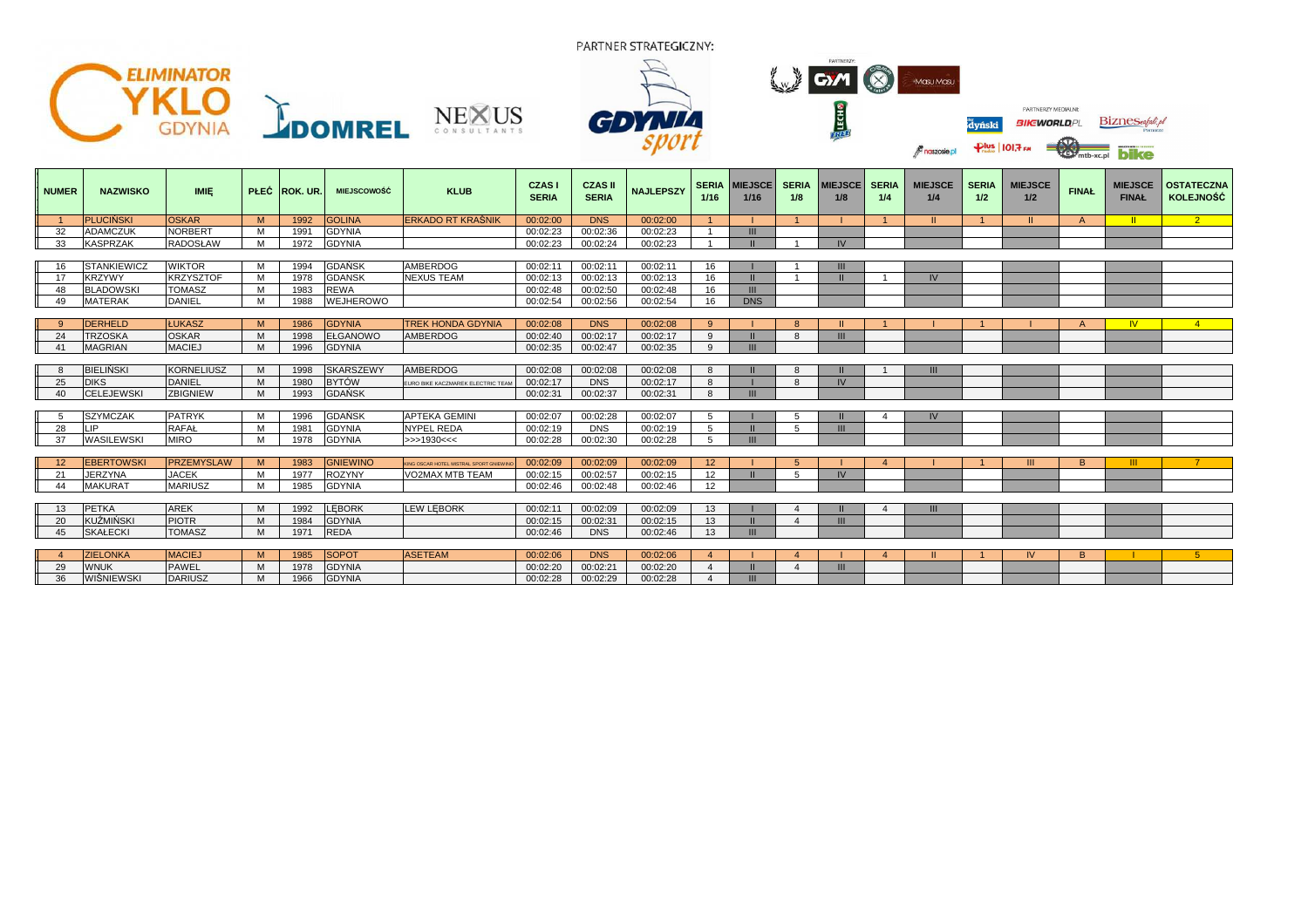

| <b>NUMER</b> | <b>NAZWISKO</b>    | <b>IMIE</b>       |   | PŁEĆ ROK. UR.    | <b>MIEJSCOWOŚĆ</b> | <b>KLUB</b>                            | <b>CZASI</b><br><b>SERIA</b> | <b>CZAS II</b><br><b>SERIA</b> | <b>NAJLEPSZY</b> | 1/16            | <b>SERIA MIEJSCET</b><br>1/16 | <b>SERIA</b><br>1/8 | <b>MIEJSCE SERIA</b><br>1/8 | 1/4 | <b>MIEJSCE</b><br>1/4 | <b>SERIA</b><br>1/2 | <b>MIEJSCE</b><br>1/2 | <b>FINAL</b>   | <b>MIEJSCE</b><br><b>FINAŁ</b> | <b>OSTATECZNA</b><br><b>KOLEJNOŚĆ</b> |
|--------------|--------------------|-------------------|---|------------------|--------------------|----------------------------------------|------------------------------|--------------------------------|------------------|-----------------|-------------------------------|---------------------|-----------------------------|-----|-----------------------|---------------------|-----------------------|----------------|--------------------------------|---------------------------------------|
|              | <b>PLUCINSKI</b>   | <b>OSKAR</b>      | M | 1992             | <b>GOLINA</b>      | <b>ERKADO RT KRAŚNIK</b>               | 00:02:00                     | <b>DNS</b>                     | 00:02:00         |                 |                               |                     |                             |     | $\mathbf{H}$          |                     | <b>II</b>             | $\overline{A}$ |                                | $2^{\circ}$                           |
| 32           | <b>ADAMCZUK</b>    | <b>NORBERT</b>    | м | 1991             | <b>GDYNIA</b>      |                                        | 00:02:23                     | 00:02:36                       | 00:02:23         |                 | Ш                             |                     |                             |     |                       |                     |                       |                |                                |                                       |
| 33           | <b>KASPRZAK</b>    | <b>RADOSŁAW</b>   | M | 1972             | <b>GDYNIA</b>      |                                        | 00:02:23                     | 00:02:24                       | 00:02:23         |                 |                               |                     | IV <sub></sub>              |     |                       |                     |                       |                |                                |                                       |
|              |                    |                   |   |                  |                    |                                        |                              |                                |                  |                 |                               |                     |                             |     |                       |                     |                       |                |                                |                                       |
|              | <b>STANKIEWICZ</b> | <b>WIKTOR</b>     | м | 1994             | <b>GDAŃSK</b>      | <b>AMBERDOG</b>                        | 00:02:11                     | 00:02:11                       | 00:02:11         | 16              |                               |                     |                             |     |                       |                     |                       |                |                                |                                       |
|              | <b>KRZYWY</b>      | <b>KRZYSZTOF</b>  | M | 1978             | <b>GDANSK</b>      | <b>NEXUS TEAM</b>                      | 00:02:13                     | 00:02:13                       | 00:02:13         | 16              |                               |                     |                             |     | IV                    |                     |                       |                |                                |                                       |
|              | <b>BLADOWSK</b>    | <b>TOMASZ</b>     | м | 1983             | <b>REWA</b>        |                                        | 00:02:48                     | 00:02:50                       | 00:02:48         | 16              | III                           |                     |                             |     |                       |                     |                       |                |                                |                                       |
| -49          | <b>MATERAK</b>     | <b>DANIEL</b>     | M | 1988             | WEJHEROWO          |                                        | 00:02:54                     | 00:02:56                       | 00:02:54         | 16              | <b>DNS</b>                    |                     |                             |     |                       |                     |                       |                |                                |                                       |
|              |                    |                   |   |                  |                    |                                        |                              |                                |                  |                 |                               |                     |                             |     |                       |                     |                       |                |                                |                                       |
|              | <b>DERHELD</b>     | <b>ŁUKASZ</b>     | M | 1986             | <b>GDYNIA</b>      | <b>TREK HONDA GDYNIA</b>               | 00:02:08                     | <b>DNS</b>                     | 00:02:08         | $\mathbf{q}$    |                               |                     |                             |     |                       |                     |                       |                |                                |                                       |
| 24           | <b>TRZOSKA</b>     | <b>OSKAR</b>      | M | 1998             | <b>EŁGANOWO</b>    | <b>AMBERDOG</b>                        | 00:02:40                     | 00:02:17                       | 00:02:17         | 9               |                               | $\mathsf{R}$        | $\mathbf{m}$                |     |                       |                     |                       |                |                                |                                       |
| 41           | <b>MAGRIAN</b>     | <b>MACIEJ</b>     | M | 1996             | <b>GDYNIA</b>      |                                        | 00:02:35                     | 00:02:47                       | 00:02:35         | 9               | III                           |                     |                             |     |                       |                     |                       |                |                                |                                       |
|              |                    |                   |   |                  |                    |                                        |                              |                                |                  |                 |                               |                     |                             |     |                       |                     |                       |                |                                |                                       |
|              | <b>BIELIŃSKI</b>   | <b>KORNELIUSZ</b> | M | 1998             | <b>SKARSZEWY</b>   | <b>AMBERDOG</b>                        | 00:02:08                     | 00:02:08                       | 00:02:08         | 8               |                               |                     |                             |     | III                   |                     |                       |                |                                |                                       |
| 25           | <b>DIKS</b>        | <b>DANIEL</b>     | M | 1980             | <b>BYTÓW</b>       | EURO BIKE KACZMAREK ELECTRIC TEAM      | 00:02:17                     | <b>DNS</b>                     | 00:02:17         | 8               |                               |                     | IV                          |     |                       |                     |                       |                |                                |                                       |
| 40           | <b>CELEJEWSKI</b>  | <b>ZBIGNIEW</b>   | M | 1993             | <b>GDAŃSK</b>      |                                        | 00:02:31                     | 00:02:37                       | 00:02:31         | 8               | Ш                             |                     |                             |     |                       |                     |                       |                |                                |                                       |
|              |                    |                   |   |                  |                    |                                        |                              |                                |                  |                 |                               |                     |                             |     |                       |                     |                       |                |                                |                                       |
|              | <b>SZYMCZAK</b>    | <b>PATRYK</b>     | м | 1996             | <b>GDAŃSK</b>      | <b>APTEKA GEMINI</b>                   | 00:02:07                     | 00:02:28                       | 00:02:07         | 5               |                               |                     |                             |     | IV                    |                     |                       |                |                                |                                       |
| 28           | <b>LIP</b>         | <b>RAFAŁ</b>      | м | 198 <sup>7</sup> | <b>GDYNIA</b>      | <b>NYPEL REDA</b>                      | 00:02:19                     | <b>DNS</b>                     | 00:02:19         | 5               |                               |                     | $\mathbf{m}$                |     |                       |                     |                       |                |                                |                                       |
| 37           | <b>WASILEWSKI</b>  | <b>MIRO</b>       | M | 1978             | <b>GDYNIA</b>      | >>1930<<                               | 00:02:28                     | 00:02:30                       | 00:02:28         | 5               | Ш                             |                     |                             |     |                       |                     |                       |                |                                |                                       |
|              |                    |                   |   |                  |                    |                                        |                              |                                |                  |                 |                               |                     |                             |     |                       |                     |                       |                |                                |                                       |
|              | <b>EBERTOWSKI</b>  | <b>PRZEMYSLAW</b> | M | 1983             | <b>GNIEWINO</b>    | KING OSCAR HOTEL MISTRAL SPORT GNIEWIN | 00:02:09                     | 00:02:09                       | 00:02:09         | 12 <sup>2</sup> |                               |                     |                             |     |                       |                     | $\mathbf{m}$          | <sub>R</sub>   | ш                              |                                       |
| 21           | <b>JERZYNA</b>     | <b>JACEK</b>      | M | 1977             | <b>ROZYNY</b>      | VO2MAX MTB TEAM                        | 00:02:15                     | 00:02:57                       | 00:02:15         | 12              |                               |                     | IV <sub></sub>              |     |                       |                     |                       |                |                                |                                       |
| 44           | <b>MAKURAT</b>     | <b>MARIUSZ</b>    | M | 1985             | <b>GDYNIA</b>      |                                        | 00:02:46                     | 00:02:48                       | 00:02:46         | 12 <sup>2</sup> |                               |                     |                             |     |                       |                     |                       |                |                                |                                       |
|              |                    |                   |   |                  |                    |                                        |                              |                                |                  |                 |                               |                     |                             |     |                       |                     |                       |                |                                |                                       |
|              | <b>PETKA</b>       | <b>AREK</b>       | M | 1992             | LEBORK             | <b>LEW LEBORK</b>                      | 00:02:11                     | 00:02:09                       | 00:02:09         | 13              |                               |                     |                             |     | III                   |                     |                       |                |                                |                                       |
| 20           | KUŹMIŃSKI          | <b>PIOTR</b>      | M | 1984             | <b>GDYNIA</b>      |                                        | 00:02:15                     | 00:02:31                       | 00:02:15         | 13              |                               |                     | $\mathbf{m}$                |     |                       |                     |                       |                |                                |                                       |
| 45           | <b>SKAŁECKI</b>    | <b>TOMASZ</b>     | M | 1971             | <b>REDA</b>        |                                        | 00:02:46                     | <b>DNS</b>                     | 00:02:46         | 13              |                               |                     |                             |     |                       |                     |                       |                |                                |                                       |

|   | <b>ZIELONKA</b>   | <b>MACIEJ</b>   | M                      |             | <b>ISOPOT</b>         | <b>ASETEAM</b> | 00:02:06 | <b>DNS</b> | 00:02:06 |  |          |  |  |  |  |
|---|-------------------|-----------------|------------------------|-------------|-----------------------|----------------|----------|------------|----------|--|----------|--|--|--|--|
| ້ | <b>WNUK</b>       | AAUTI<br>FAVVEL | <b>M</b><br><b>IVI</b> | AOZ<br>.910 | OMI<br><b>BUTINA</b>  |                | 00:02:20 | 00:02:21   | 00:02:20 |  | $\cdots$ |  |  |  |  |
|   | <b>WISNIEWSKI</b> | DARIUSZ         | M                      | $\sqrt{2}$  | OMU<br><b>OUTINIA</b> |                | 00:02:28 | 00:02:29   | 00:02:28 |  |          |  |  |  |  |